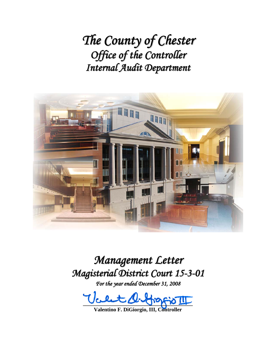*The County of Chester Office of the Controller Internal Audit Department*



*Management Letter Magisterial District Court 15-3-01*

*For the year ended December 31, 2008*

**\_\_\_\_\_\_\_\_\_\_\_\_\_\_\_\_\_\_\_\_\_\_\_\_\_\_\_\_\_\_\_\_\_\_\_\_\_\_\_\_\_** 

**Valentino F. DiGiorgio, III, Controller**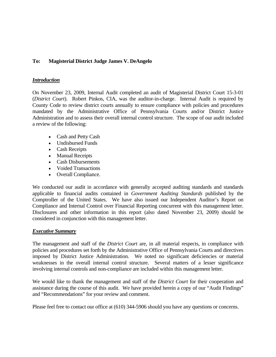### **To: Magisterial District Judge James V. DeAngelo**

#### *Introduction*

On November 23, 2009, Internal Audit completed an audit of Magisterial District Court 15-3-01 (*District Court*). Robert Pinkos, CIA, was the auditor-in-charge. Internal Audit is required by County Code to review district courts annually to ensure compliance with policies and procedures mandated by the Administrative Office of Pennsylvania Courts and/or District Justice Administration and to assess their overall internal control structure. The scope of our audit included a review of the following:

- Cash and Petty Cash
- Undisbursed Funds
- Cash Receipts
- Manual Receipts
- Cash Disbursements
- Voided Transactions
- Overall Compliance.

We conducted our audit in accordance with generally accepted auditing standards and standards applicable to financial audits contained in *Government Auditing Standards* published by the Comptroller of the United States. We have also issued our Independent Auditor's Report on Compliance and Internal Control over Financial Reporting concurrent with this management letter. Disclosures and other information in this report (also dated November 23, 2009) should be considered in conjunction with this management letter.

#### *Executive Summary*

The management and staff of the *District Court* are, in all material respects, in compliance with policies and procedures set forth by the Administrative Office of Pennsylvania Courts and directives imposed by District Justice Administration. We noted no significant deficiencies or material weaknesses in the overall internal control structure. Several matters of a lesser significance involving internal controls and non-compliance are included within this management letter.

We would like to thank the management and staff of the *District Court* for their cooperation and assistance during the course of this audit. We have provided herein a copy of our "Audit Findings" and "Recommendations" for your review and comment.

Please feel free to contact our office at (610) 344-5906 should you have any questions or concerns.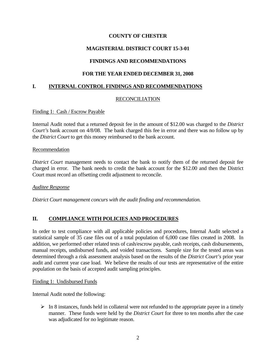# **MAGISTERIAL DISTRICT COURT 15-3-01**

# **FINDINGS AND RECOMMENDATIONS**

## **FOR THE YEAR ENDED DECEMBER 31, 2008**

## **I. INTERNAL CONTROL FINDINGS AND RECOMMENDATIONS**

## RECONCILIATION

### Finding 1: Cash / Escrow Payable

Internal Audit noted that a returned deposit fee in the amount of \$12.00 was charged to the *District Court's* bank account on 4/8/08. The bank charged this fee in error and there was no follow up by the *District Court* to get this money reimbursed to the bank account.

#### Recommendation

*District Court* management needs to contact the bank to notify them of the returned deposit fee charged in error. The bank needs to credit the bank account for the \$12.00 and then the District Court must record an offsetting credit adjustment to reconcile.

### *Auditee Response*

*District Court management concurs with the audit finding and recommendation.*

## **II. COMPLIANCE WITH POLICIES AND PROCEDURES**

In order to test compliance with all applicable policies and procedures, Internal Audit selected a statistical sample of 35 case files out of a total population of 6,000 case files created in 2008. In addition, we performed other related tests of cash/escrow payable, cash receipts, cash disbursements, manual receipts, undisbursed funds, and voided transactions. Sample size for the tested areas was determined through a risk assessment analysis based on the results of the *District Court's* prior year audit and current year case load. We believe the results of our tests are representative of the entire population on the basis of accepted audit sampling principles.

### Finding 1: Undisbursed Funds

Internal Audit noted the following:

 $\triangleright$  In 8 instances, funds held in collateral were not refunded to the appropriate payee in a timely manner. These funds were held by the *District Court* for three to ten months after the case was adjudicated for no legitimate reason.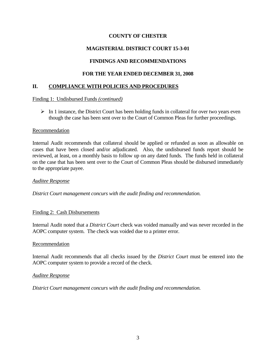# **MAGISTERIAL DISTRICT COURT 15-3-01**

# **FINDINGS AND RECOMMENDATIONS**

### **FOR THE YEAR ENDED DECEMBER 31, 2008**

### **II. COMPLIANCE WITH POLICIES AND PROCEDURES**

Finding 1: Undisbursed Funds *(continued)*

 $\triangleright$  In 1 instance, the District Court has been holding funds in collateral for over two years even though the case has been sent over to the Court of Common Pleas for further proceedings.

#### Recommendation

Internal Audit recommends that collateral should be applied or refunded as soon as allowable on cases that have been closed and/or adjudicated. Also, the undisbursed funds report should be reviewed, at least, on a monthly basis to follow up on any dated funds. The funds held in collateral on the case that has been sent over to the Court of Common Pleas should be disbursed immediately to the appropriate payee.

#### *Auditee Response*

*District Court management concurs with the audit finding and recommendation.*

#### Finding 2: Cash Disbursements

Internal Audit noted that a *District Court* check was voided manually and was never recorded in the AOPC computer system. The check was voided due to a printer error.

#### Recommendation

Internal Audit recommends that all checks issued by the *District Court* must be entered into the AOPC computer system to provide a record of the check.

#### *Auditee Response*

*District Court management concurs with the audit finding and recommendation.*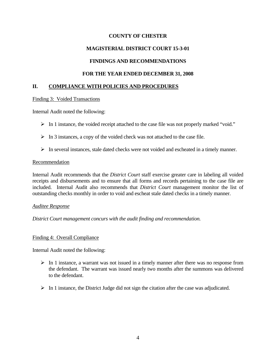## **MAGISTERIAL DISTRICT COURT 15-3-01**

# **FINDINGS AND RECOMMENDATIONS**

### **FOR THE YEAR ENDED DECEMBER 31, 2008**

### **II. COMPLIANCE WITH POLICIES AND PROCEDURES**

#### Finding 3: Voided Transactions

Internal Audit noted the following:

- $\triangleright$  In 1 instance, the voided receipt attached to the case file was not properly marked "void."
- $\triangleright$  In 3 instances, a copy of the voided check was not attached to the case file.
- $\triangleright$  In several instances, stale dated checks were not voided and escheated in a timely manner.

#### Recommendation

Internal Audit recommends that the *District Court* staff exercise greater care in labeling all voided receipts and disbursements and to ensure that all forms and records pertaining to the case file are included. Internal Audit also recommends that *District Court* management monitor the list of outstanding checks monthly in order to void and escheat stale dated checks in a timely manner.

### *Auditee Response*

*District Court management concurs with the audit finding and recommendation.*

### Finding 4: Overall Compliance

Internal Audit noted the following:

- $\triangleright$  In 1 instance, a warrant was not issued in a timely manner after there was no response from the defendant. The warrant was issued nearly two months after the summons was delivered to the defendant.
- $\triangleright$  In 1 instance, the District Judge did not sign the citation after the case was adjudicated.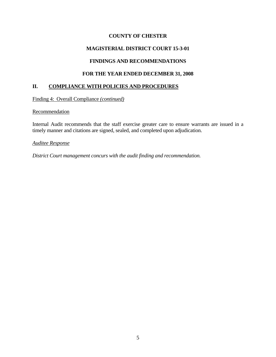# **MAGISTERIAL DISTRICT COURT 15-3-01**

# **FINDINGS AND RECOMMENDATIONS**

# **FOR THE YEAR ENDED DECEMBER 31, 2008**

## **II. COMPLIANCE WITH POLICIES AND PROCEDURES**

Finding 4: Overall Compliance *(continued)*

### Recommendation

Internal Audit recommends that the staff exercise greater care to ensure warrants are issued in a timely manner and citations are signed, sealed, and completed upon adjudication.

### *Auditee Response*

*District Court management concurs with the audit finding and recommendation.*